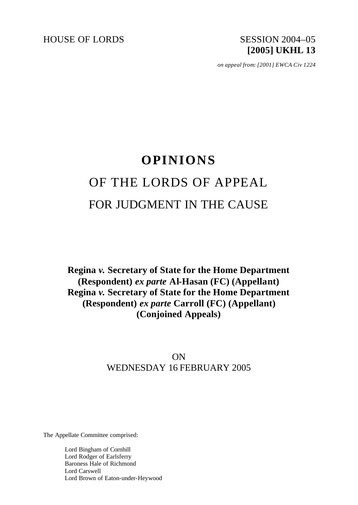HOUSE OF LORDS SESSION 2004–05

# **[2005] UKHL 13**

*on appeal from: [2001] EWCA Civ 1224*

## **OPINIONS** OF THE LORDS OF APPEAL FOR JUDGMENT IN THE CAUSE

**Regina** *v.* **Secretary of State for the Home Department (Respondent)** *ex parte* **Al-Hasan (FC) (Appellant) Regina** *v.* **Secretary of State for the Home Department (Respondent)** *ex parte* **Carroll (FC) (Appellant) (Conjoined Appeals)**

### ON WEDNESDAY 16 FEBRUARY 2005

The Appellate Committee comprised:

Lord Bingham of Cornhill Lord Rodger of Earlsferry Baroness Hale of Richmond Lord Carswell Lord Brown of Eaton-under-Heywood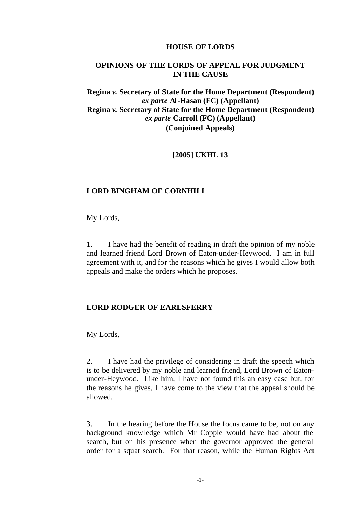#### **HOUSE OF LORDS**

#### **OPINIONS OF THE LORDS OF APPEAL FOR JUDGMENT IN THE CAUSE**

#### **Regina** *v.* **Secretary of State for the Home Department (Respondent)**  *ex parte* **Al-Hasan (FC) (Appellant) Regina** *v.* **Secretary of State for the Home Department (Respondent)**  *ex parte* **Carroll (FC) (Appellant) (Conjoined Appeals)**

#### **[2005] UKHL 13**

#### **LORD BINGHAM OF CORNHILL**

My Lords,

1. I have had the benefit of reading in draft the opinion of my noble and learned friend Lord Brown of Eaton-under-Heywood. I am in full agreement with it, and for the reasons which he gives I would allow both appeals and make the orders which he proposes.

#### **LORD RODGER OF EARLSFERRY**

My Lords,

2. I have had the privilege of considering in draft the speech which is to be delivered by my noble and learned friend, Lord Brown of Eatonunder-Heywood. Like him, I have not found this an easy case but, for the reasons he gives, I have come to the view that the appeal should be allowed.

3. In the hearing before the House the focus came to be, not on any background knowledge which Mr Copple would have had about the search, but on his presence when the governor approved the general order for a squat search. For that reason, while the Human Rights Act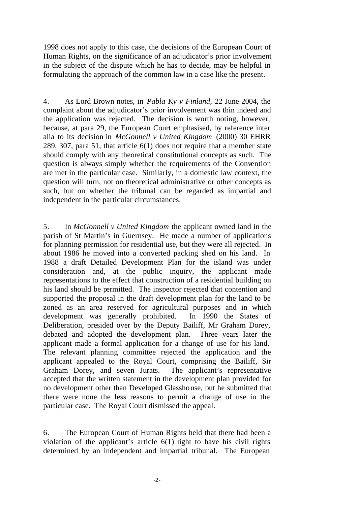1998 does not apply to this case, the decisions of the European Court of Human Rights, on the significance of an adjudicator's prior involvement in the subject of the dispute which he has to decide, may be helpful in formulating the approach of the common law in a case like the present.

4. As Lord Brown notes, in *Pabla Ky v Finland,* 22 June 2004, the complaint about the adjudicator's prior involvement was thin indeed and the application was rejected. The decision is worth noting, however, because, at para 29, the European Court emphasised, by reference inter alia to its decision in *McGonnell v United Kingdom* (2000) 30 EHRR 289, 307, para 51, that article 6(1) does not require that a member state should comply with any theoretical constitutional concepts as such. The question is always simply whether the requirements of the Convention are met in the particular case. Similarly, in a domestic law context, the question will turn, not on theoretical administrative or other concepts as such, but on whether the tribunal can be regarded as impartial and independent in the particular circumstances.

5. In *McGonnell v United Kingdom* the applicant owned land in the parish of St Martin's in Guernsey. He made a number of applications for planning permission for residential use, but they were all rejected. In about 1986 he moved into a converted packing shed on his land. In 1988 a draft Detailed Development Plan for the island was under consideration and, at the public inquiry, the applicant made representations to the effect that construction of a residential building on his land should be permitted. The inspector rejected that contention and supported the proposal in the draft development plan for the land to be zoned as an area reserved for agricultural purposes and in which development was generally prohibited. In 1990 the States of Deliberation, presided over by the Deputy Bailiff, Mr Graham Dorey, debated and adopted the development plan. Three years later the applicant made a formal application for a change of use for his land. The relevant planning committee rejected the application and the applicant appealed to the Royal Court, comprising the Bailiff, Sir Graham Dorey, and seven Jurats. The applicant's representative accepted that the written statement in the development plan provided for no development other than Developed Glasshouse, but he submitted that there were none the less reasons to permit a change of use in the particular case. The Royal Court dismissed the appeal.

6. The European Court of Human Rights held that there had been a violation of the applicant's article  $6(1)$  right to have his civil rights determined by an independent and impartial tribunal. The European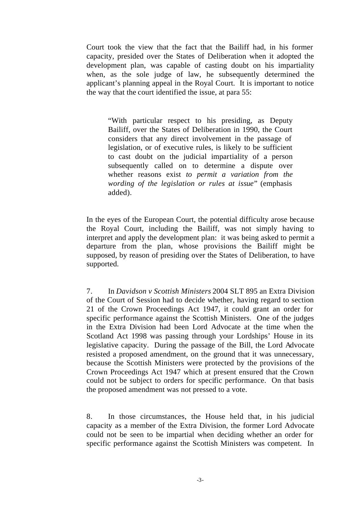Court took the view that the fact that the Bailiff had, in his former capacity, presided over the States of Deliberation when it adopted the development plan, was capable of casting doubt on his impartiality when, as the sole judge of law, he subsequently determined the applicant's planning appeal in the Royal Court. It is important to notice the way that the court identified the issue, at para 55:

"With particular respect to his presiding, as Deputy Bailiff, over the States of Deliberation in 1990, the Court considers that any direct involvement in the passage of legislation, or of executive rules, is likely to be sufficient to cast doubt on the judicial impartiality of a person subsequently called on to determine a dispute over whether reasons exist *to permit a variation from the wording of the legislation or rules at issue*" (emphasis added).

In the eyes of the European Court, the potential difficulty arose because the Royal Court, including the Bailiff, was not simply having to interpret and apply the development plan: it was being asked to permit a departure from the plan, whose provisions the Bailiff might be supposed, by reason of presiding over the States of Deliberation, to have supported.

7. In *Davidson v Scottish Ministers* 2004 SLT 895 an Extra Division of the Court of Session had to decide whether, having regard to section 21 of the Crown Proceedings Act 1947, it could grant an order for specific performance against the Scottish Ministers. One of the judges in the Extra Division had been Lord Advocate at the time when the Scotland Act 1998 was passing through your Lordships' House in its legislative capacity. During the passage of the Bill, the Lord Advocate resisted a proposed amendment, on the ground that it was unnecessary, because the Scottish Ministers were protected by the provisions of the Crown Proceedings Act 1947 which at present ensured that the Crown could not be subject to orders for specific performance. On that basis the proposed amendment was not pressed to a vote.

8. In those circumstances, the House held that, in his judicial capacity as a member of the Extra Division, the former Lord Advocate could not be seen to be impartial when deciding whether an order for specific performance against the Scottish Ministers was competent. In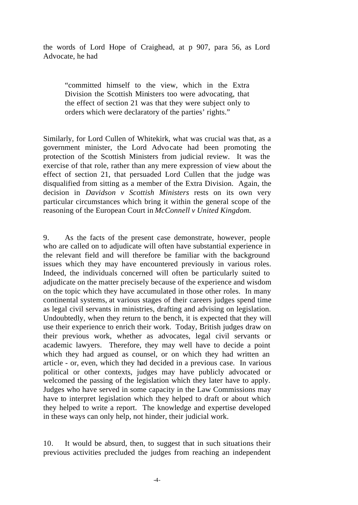the words of Lord Hope of Craighead, at p 907, para 56, as Lord Advocate, he had

"committed himself to the view, which in the Extra Division the Scottish Ministers too were advocating, that the effect of section 21 was that they were subject only to orders which were declaratory of the parties' rights."

Similarly, for Lord Cullen of Whitekirk, what was crucial was that, as a government minister, the Lord Advocate had been promoting the protection of the Scottish Ministers from judicial review. It was the exercise of that role, rather than any mere expression of view about the effect of section 21, that persuaded Lord Cullen that the judge was disqualified from sitting as a member of the Extra Division. Again, the decision in *Davidson v Scottish Ministers* rests on its own very particular circumstances which bring it within the general scope of the reasoning of the European Court in *McConnell v United Kingdom.*

9. As the facts of the present case demonstrate, however, people who are called on to adjudicate will often have substantial experience in the relevant field and will therefore be familiar with the background issues which they may have encountered previously in various roles. Indeed, the individuals concerned will often be particularly suited to adjudicate on the matter precisely because of the experience and wisdom on the topic which they have accumulated in those other roles. In many continental systems, at various stages of their careers judges spend time as legal civil servants in ministries, drafting and advising on legislation. Undoubtedly, when they return to the bench, it is expected that they will use their experience to enrich their work. Today, British judges draw on their previous work, whether as advocates, legal civil servants or academic lawyers. Therefore, they may well have to decide a point which they had argued as counsel, or on which they had written an article - or, even, which they had decided in a previous case. In various political or other contexts, judges may have publicly advocated or welcomed the passing of the legislation which they later have to apply. Judges who have served in some capacity in the Law Commissions may have to interpret legislation which they helped to draft or about which they helped to write a report. The knowledge and expertise developed in these ways can only help, not hinder, their judicial work.

10. It would be absurd, then, to suggest that in such situations their previous activities precluded the judges from reaching an independent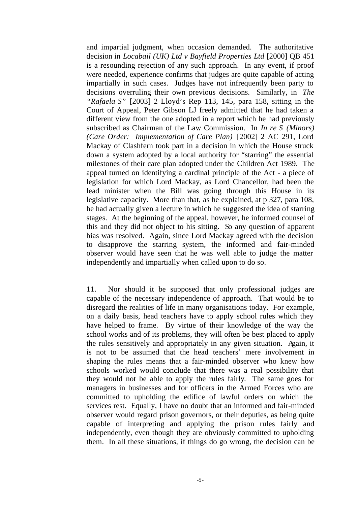and impartial judgment, when occasion demanded. The authoritative decision in *Locabail (UK) Ltd v Bayfield Properties Ltd* [2000] QB 451 is a resounding rejection of any such approach. In any event, if proof were needed, experience confirms that judges are quite capable of acting impartially in such cases. Judges have not infrequently been party to decisions overruling their own previous decisions. Similarly, in *The "Rafaela S"* [2003] 2 Lloyd's Rep 113, 145, para 158, sitting in the Court of Appeal, Peter Gibson LJ freely admitted that he had taken a different view from the one adopted in a report which he had previously subscribed as Chairman of the Law Commission. In *In re S (Minors) (Care Order: Implementation of Care Plan)* [2002] 2 AC 291, Lord Mackay of Clashfern took part in a decision in which the House struck down a system adopted by a local authority for "starring" the essential milestones of their care plan adopted under the Children Act 1989. The appeal turned on identifying a cardinal principle of the Act - a piece of legislation for which Lord Mackay, as Lord Chancellor, had been the lead minister when the Bill was going through this House in its legislative capacity. More than that, as he explained, at p 327, para 108, he had actually given a lecture in which he suggested the idea of starring stages. At the beginning of the appeal, however, he informed counsel of this and they did not object to his sitting. So any question of apparent bias was resolved. Again, since Lord Mackay agreed with the decision to disapprove the starring system, the informed and fair-minded observer would have seen that he was well able to judge the matter independently and impartially when called upon to do so.

11. Nor should it be supposed that only professional judges are capable of the necessary independence of approach. That would be to disregard the realities of life in many organisations today. For example, on a daily basis, head teachers have to apply school rules which they have helped to frame. By virtue of their knowledge of the way the school works and of its problems, they will often be best placed to apply the rules sensitively and appropriately in any given situation. Again, it is not to be assumed that the head teachers' mere involvement in shaping the rules means that a fair-minded observer who knew how schools worked would conclude that there was a real possibility that they would not be able to apply the rules fairly. The same goes for managers in businesses and for officers in the Armed Forces who are committed to upholding the edifice of lawful orders on which the services rest. Equally, I have no doubt that an informed and fair-minded observer would regard prison governors, or their deputies, as being quite capable of interpreting and applying the prison rules fairly and independently, even though they are obviously committed to upholding them. In all these situations, if things do go wrong, the decision can be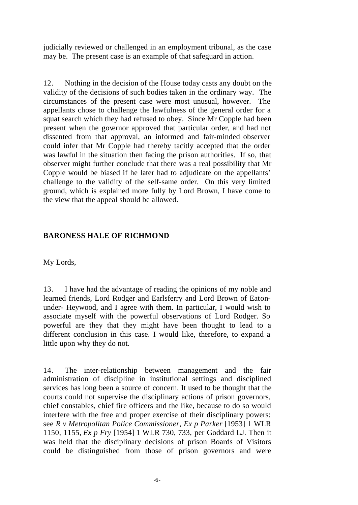judicially reviewed or challenged in an employment tribunal, as the case may be. The present case is an example of that safeguard in action.

12. Nothing in the decision of the House today casts any doubt on the validity of the decisions of such bodies taken in the ordinary way. The circumstances of the present case were most unusual, however. The appellants chose to challenge the lawfulness of the general order for a squat search which they had refused to obey. Since Mr Copple had been present when the governor approved that particular order, and had not dissented from that approval, an informed and fair-minded observer could infer that Mr Copple had thereby tacitly accepted that the order was lawful in the situation then facing the prison authorities. If so, that observer might further conclude that there was a real possibility that Mr Copple would be biased if he later had to adjudicate on the appellants' challenge to the validity of the self-same order. On this very limited ground, which is explained more fully by Lord Brown, I have come to the view that the appeal should be allowed.

#### **BARONESS HALE OF RICHMOND**

My Lords,

13. I have had the advantage of reading the opinions of my noble and learned friends, Lord Rodger and Earlsferry and Lord Brown of Eatonunder- Heywood, and I agree with them. In particular, I would wish to associate myself with the powerful observations of Lord Rodger. So powerful are they that they might have been thought to lead to a different conclusion in this case. I would like, therefore, to expand a little upon why they do not.

14. The inter-relationship between management and the fair administration of discipline in institutional settings and disciplined services has long been a source of concern. It used to be thought that the courts could not supervise the disciplinary actions of prison governors, chief constables, chief fire officers and the like, because to do so would interfere with the free and proper exercise of their disciplinary powers: see *R v Metropolitan Police Commissioner, Ex p Parker* [1953] 1 WLR 1150, 1155, *Ex p Fry* [1954] 1 WLR 730, 733, per Goddard LJ. Then it was held that the disciplinary decisions of prison Boards of Visitors could be distinguished from those of prison governors and were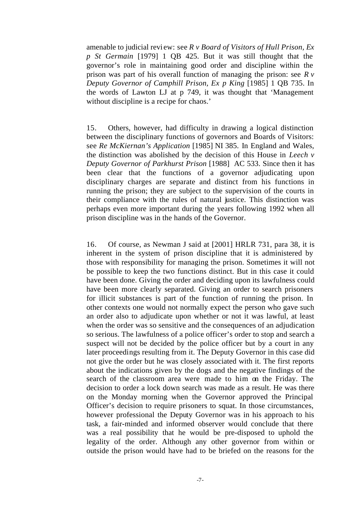amenable to judicial review: see *R v Board of Visitors of Hull Prison, Ex p St Germain* [1979] 1 QB 425. But it was still thought that the governor's role in maintaining good order and discipline within the prison was part of his overall function of managing the prison: see *R v Deputy Governor of Camphill Prison, Ex p King* [1985] 1 QB 735. In the words of Lawton LJ at p 749, it was thought that 'Management without discipline is a recipe for chaos.'

15. Others, however, had difficulty in drawing a logical distinction between the disciplinary functions of governors and Boards of Visitors: see *Re McKiernan's Application* [1985] NI 385. In England and Wales, the distinction was abolished by the decision of this House in *Leech v Deputy Governor of Parkhurst Prison* [1988] AC 533. Since then it has been clear that the functions of a governor adjudicating upon disciplinary charges are separate and distinct from his functions in running the prison; they are subject to the supervision of the courts in their compliance with the rules of natural justice. This distinction was perhaps even more important during the years following 1992 when all prison discipline was in the hands of the Governor.

16. Of course, as Newman J said at [2001] HRLR 731, para 38, it is inherent in the system of prison discipline that it is administered by those with responsibility for managing the prison. Sometimes it will not be possible to keep the two functions distinct. But in this case it could have been done. Giving the order and deciding upon its lawfulness could have been more clearly separated. Giving an order to search prisoners for illicit substances is part of the function of running the prison. In other contexts one would not normally expect the person who gave such an order also to adjudicate upon whether or not it was lawful, at least when the order was so sensitive and the consequences of an adjudication so serious. The lawfulness of a police officer's order to stop and search a suspect will not be decided by the police officer but by a court in any later proceedings resulting from it. The Deputy Governor in this case did not give the order but he was closely associated with it. The first reports about the indications given by the dogs and the negative findings of the search of the classroom area were made to him on the Friday. The decision to order a lock down search was made as a result. He was there on the Monday morning when the Governor approved the Principal Officer's decision to require prisoners to squat. In those circumstances, however professional the Deputy Governor was in his approach to his task, a fair-minded and informed observer would conclude that there was a real possibility that he would be pre-disposed to uphold the legality of the order. Although any other governor from within or outside the prison would have had to be briefed on the reasons for the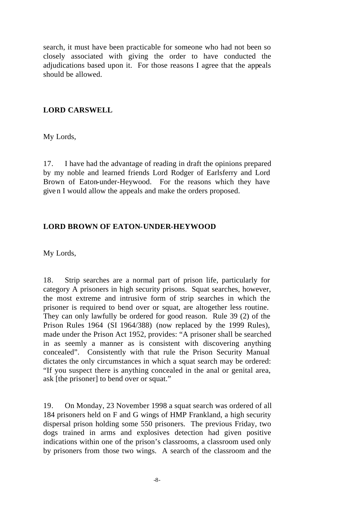search, it must have been practicable for someone who had not been so closely associated with giving the order to have conducted the adjudications based upon it. For those reasons I agree that the appeals should be allowed.

#### **LORD CARSWELL**

My Lords,

17. I have had the advantage of reading in draft the opinions prepared by my noble and learned friends Lord Rodger of Earlsferry and Lord Brown of Eaton-under-Heywood. For the reasons which they have give n I would allow the appeals and make the orders proposed.

#### **LORD BROWN OF EATON-UNDER-HEYWOOD**

My Lords,

18. Strip searches are a normal part of prison life, particularly for category A prisoners in high security prisons. Squat searches, however, the most extreme and intrusive form of strip searches in which the prisoner is required to bend over or squat, are altogether less routine. They can only lawfully be ordered for good reason. Rule 39 (2) of the Prison Rules 1964 (SI 1964/388) (now replaced by the 1999 Rules), made under the Prison Act 1952, provides: "A prisoner shall be searched in as seemly a manner as is consistent with discovering anything concealed". Consistently with that rule the Prison Security Manual dictates the only circumstances in which a squat search may be ordered: "If you suspect there is anything concealed in the anal or genital area, ask [the prisoner] to bend over or squat."

19. On Monday, 23 November 1998 a squat search was ordered of all 184 prisoners held on F and G wings of HMP Frankland, a high security dispersal prison holding some 550 prisoners. The previous Friday, two dogs trained in arms and explosives detection had given positive indications within one of the prison's classrooms, a classroom used only by prisoners from those two wings. A search of the classroom and the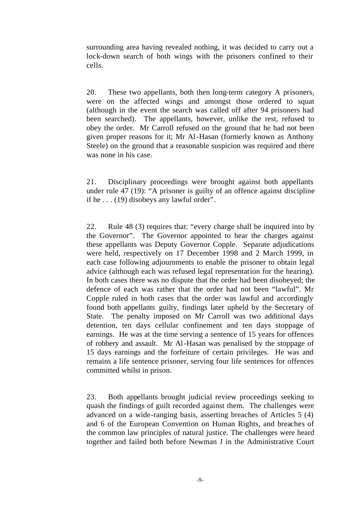surrounding area having revealed nothing, it was decided to carry out a lock-down search of both wings with the prisoners confined to their cells.

20. These two appellants, both then long-term category A prisoners, were on the affected wings and amongst those ordered to squat (although in the event the search was called off after 94 prisoners had been searched). The appellants, however, unlike the rest, refused to obey the order. Mr Carroll refused on the ground that he had not been given proper reasons for it; Mr Al-Hasan (formerly known as Anthony Steele) on the ground that a reasonable suspicion was required and there was none in his case.

21. Disciplinary proceedings were brought against both appellants under rule 47 (19): "A prisoner is guilty of an offence against discipline if he . . . (19) disobeys any lawful order".

22. Rule 48 (3) requires that: "every charge shall be inquired into by the Governor". The Governor appointed to hear the charges against these appellants was Deputy Governor Copple. Separate adjudications were held, respectively on 17 December 1998 and 2 March 1999, in each case following adjournments to enable the prisoner to obtain legal advice (although each was refused legal representation for the hearing). In both cases there was no dispute that the order had been disobeyed; the defence of each was rather that the order had not been "lawful". Mr Copple ruled in both cases that the order was lawful and accordingly found both appellants guilty, findings later upheld by the Secretary of State. The penalty imposed on Mr Carroll was two additional days detention, ten days cellular confinement and ten days stoppage of earnings. He was at the time serving a sentence of 15 years for offences of robbery and assault. Mr Al-Hasan was penalised by the stoppage of 15 days earnings and the forfeiture of certain privileges. He was and remains a life sentence prisoner, serving four life sentences for offences committed whilst in prison.

23. Both appellants brought judicial review proceedings seeking to quash the findings of guilt recorded against them. The challenges were advanced on a wide-ranging basis, asserting breaches of Articles 5 (4) and 6 of the European Convention on Human Rights, and breaches of the common law principles of natural justice. The challenges were heard together and failed both before Newman J in the Administrative Court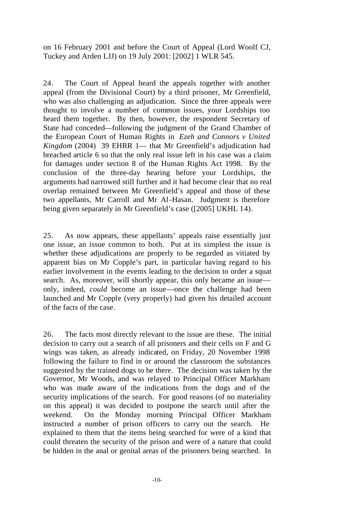on 16 February 2001 and before the Court of Appeal (Lord Woolf CJ, Tuckey and Arden LJJ) on 19 July 2001: [2002] 1 WLR 545.

24. The Court of Appeal heard the appeals together with another appeal (from the Divisional Court) by a third prisoner, Mr Greenfield, who was also challenging an adjudication. Since the three appeals were thought to involve a number of common issues, your Lordships too heard them together. By then, however, the respondent Secretary of State had conceded—following the judgment of the Grand Chamber of the European Court of Human Rights in *Ezeh and Connors v United Kingdom* (2004) 39 EHRR 1— that Mr Greenfield's adjudication had breached article 6 so that the only real issue left in his case was a claim for damages under section 8 of the Human Rights Act 1998. By the conclusion of the three-day hearing before your Lordships, the arguments had narrowed still further and it had become clear that no real overlap remained between Mr Greenfield's appeal and those of these two appellants, Mr Carroll and Mr Al-Hasan. Judgment is therefore being given separately in Mr Greenfield's case ([2005] UKHL 14).

25. As now appears, these appellants' appeals raise essentially just one issue, an issue common to both. Put at its simplest the issue is whether these adjudications are properly to be regarded as vitiated by apparent bias on Mr Copple's part, in particular having regard to his earlier involvement in the events leading to the decision to order a squat search. As, moreover, will shortly appear, this only became an issue only, indeed, *could* become an issue—once the challenge had been launched and Mr Copple (very properly) had given his detailed account of the facts of the case.

26. The facts most directly relevant to the issue are these. The initial decision to carry out a search of all prisoners and their cells on F and G wings was taken, as already indicated, on Friday, 20 November 1998 following the failure to find in or around the classroom the substances suggested by the trained dogs to be there. The decision was taken by the Governor, Mr Woods, and was relayed to Principal Officer Markham who was made aware of the indications from the dogs and of the security implications of the search. For good reasons (of no materiality on this appeal) it was decided to postpone the search until after the weekend. On the Monday morning Principal Officer Markham instructed a number of prison officers to carry out the search. He explained to them that the items being searched for were of a kind that could threaten the security of the prison and were of a nature that could be hidden in the anal or genital areas of the prisoners being searched. In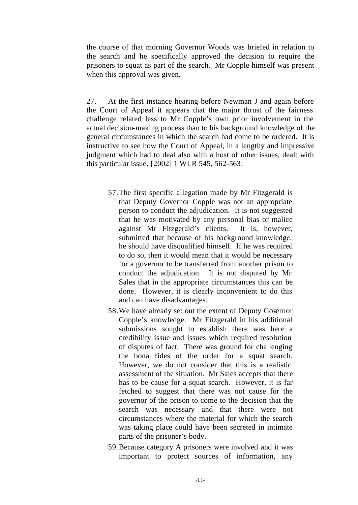the course of that morning Governor Woods was briefed in relation to the search and he specifically approved the decision to require the prisoners to squat as part of the search. Mr Copple himself was present when this approval was given.

27. At the first instance hearing before Newman J and again before the Court of Appeal it appears that the major thrust of the fairness challenge related less to Mr Copple's own prior involvement in the actual decision-making process than to his background knowledge of the general circumstances in which the search had come to be ordered. It is instructive to see how the Court of Appeal, in a lengthy and impressive judgment which had to deal also with a host of other issues, dealt with this particular issue, [2002] 1 WLR 545, 562-563:

- 57.The first specific allegation made by Mr Fitzgerald is that Deputy Governor Copple was not an appropriate person to conduct the adjudication. It is not suggested that he was motivated by any personal bias or malice against Mr Fitzgerald's clients. It is, however, submitted that because of his background knowledge, he should have disqualified himself. If he was required to do so, then it would mean that it would be necessary for a governor to be transferred from another prison to conduct the adjudication. It is not disputed by Mr Sales that in the appropriate circumstances this can be done. However, it is clearly inconvenient to do this and can have disadvantages.
- 58.We have already set out the extent of Deputy Governor Copple's knowledge. Mr Fitzgerald in his additional submissions sought to establish there was here a credibility issue and issues which required resolution of disputes of fact. There was ground for challenging the bona fides of the order for a squat search. However, we do not consider that this is a realistic assessment of the situation. Mr Sales accepts that there has to be cause for a squat search. However, it is far fetched to suggest that there was not cause for the governor of the prison to come to the decision that the search was necessary and that there were not circumstances where the material for which the search was taking place could have been secreted in intimate parts of the prisoner's body.
- 59.Because category A prisoners were involved and it was important to protect sources of information, any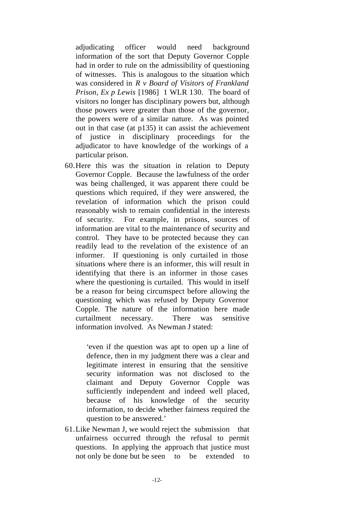adjudicating officer would need background information of the sort that Deputy Governor Copple had in order to rule on the admissibility of questioning of witnesses. This is analogous to the situation which was considered in *R v Board of Visitors of Frankland Prison, Ex p Lewis* [1986] 1 WLR 130. The board of visitors no longer has disciplinary powers but, although those powers were greater than those of the governor, the powers were of a similar nature. As was pointed out in that case (at p135) it can assist the achievement of justice in disciplinary proceedings for the adjudicator to have knowledge of the workings of a particular prison.

60.Here this was the situation in relation to Deputy Governor Copple. Because the lawfulness of the order was being challenged, it was apparent there could be questions which required, if they were answered, the revelation of information which the prison could reasonably wish to remain confidential in the interests of security. For example, in prisons, sources of information are vital to the maintenance of security and control. They have to be protected because they can readily lead to the revelation of the existence of an informer. If questioning is only curtailed in those situations where there is an informer, this will result in identifying that there is an informer in those cases where the questioning is curtailed. This would in itself be a reason for being circumspect before allowing the questioning which was refused by Deputy Governor Copple. The nature of the information here made curtailment necessary. There was sensitive information involved. As Newman J stated:

> 'even if the question was apt to open up a line of defence, then in my judgment there was a clear and legitimate interest in ensuring that the sensitive security information was not disclosed to the claimant and Deputy Governor Copple was sufficiently independent and indeed well placed, because of his knowledge of the security information, to decide whether fairness required the question to be answered.'

61.Like Newman J, we would reject the submission that unfairness occurred through the refusal to permit questions. In applying the approach that justice must not only be done but be seen to be extended to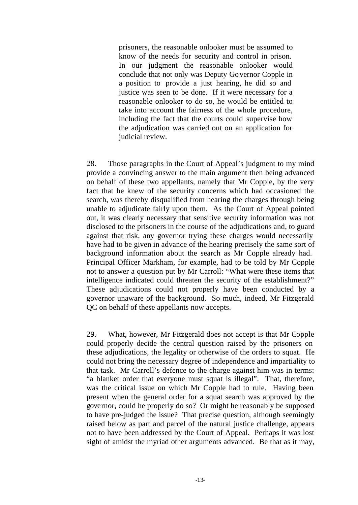prisoners, the reasonable onlooker must be assumed to know of the needs for security and control in prison. In our judgment the reasonable onlooker would conclude that not only was Deputy Governor Copple in a position to provide a just hearing, he did so and justice was seen to be done. If it were necessary for a reasonable onlooker to do so, he would be entitled to take into account the fairness of the whole procedure, including the fact that the courts could supervise how the adjudication was carried out on an application for judicial review.

28. Those paragraphs in the Court of Appeal's judgment to my mind provide a convincing answer to the main argument then being advanced on behalf of these two appellants, namely that Mr Copple, by the very fact that he knew of the security concerns which had occasioned the search, was thereby disqualified from hearing the charges through being unable to adjudicate fairly upon them. As the Court of Appeal pointed out, it was clearly necessary that sensitive security information was not disclosed to the prisoners in the course of the adjudications and, to guard against that risk, any governor trying these charges would necessarily have had to be given in advance of the hearing precisely the same sort of background information about the search as Mr Copple already had. Principal Officer Markham, for example, had to be told by Mr Copple not to answer a question put by Mr Carroll: "What were these items that intelligence indicated could threaten the security of the establishment?" These adjudications could not properly have been conducted by a governor unaware of the background. So much, indeed, Mr Fitzgerald QC on behalf of these appellants now accepts.

29. What, however, Mr Fitzgerald does not accept is that Mr Copple could properly decide the central question raised by the prisoners on these adjudications, the legality or otherwise of the orders to squat. He could not bring the necessary degree of independence and impartiality to that task. Mr Carroll's defence to the charge against him was in terms: "a blanket order that everyone must squat is illegal". That, therefore, was the critical issue on which Mr Copple had to rule. Having been present when the general order for a squat search was approved by the governor, could he properly do so? Or might he reasonably be supposed to have pre-judged the issue? That precise question, although seemingly raised below as part and parcel of the natural justice challenge, appears not to have been addressed by the Court of Appeal. Perhaps it was lost sight of amidst the myriad other arguments advanced. Be that as it may,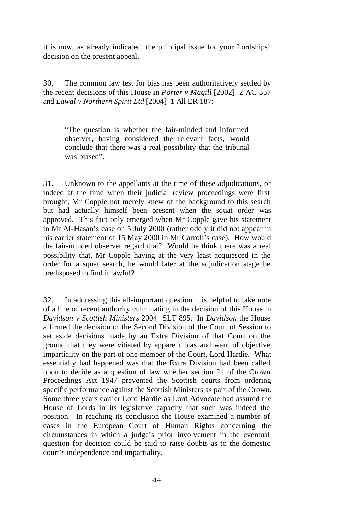it is now, as already indicated, the principal issue for your Lordships' decision on the present appeal.

30. The common law test for bias has been authoritatively settled by the recent decisions of this House in *Porter v Magill* [2002] 2 AC 357 and *Lawal v Northern Spirit Ltd* [2004] 1 All ER 187:

"The question is whether the fair-minded and informed observer, having considered the relevant facts, would conclude that there was a real possibility that the tribunal was biased".

31. Unknown to the appellants at the time of these adjudications, or indeed at the time when their judicial review proceedings were first brought, Mr Copple not merely knew of the background to this search but had actually himself been present when the squat order was approved. This fact only emerged when Mr Copple gave his statement in Mr Al-Hasan's case on 5 July 2000 (rather oddly it did not appear in his earlier statement of 15 May 2000 in Mr Carroll's case). How would the fair-minded observer regard that? Would he think there was a real possibility that, Mr Copple having at the very least acquiesced in the order for a squat search, he would later at the adjudication stage be predisposed to find it lawful?

32. In addressing this all-important question it is helpful to take note of a line of recent authority culminating in the decision of this House in *Davidson v Scottish Ministers* 2004 SLT 895. In *Davidson* the House affirmed the decision of the Second Division of the Court of Session to set aside decisions made by an Extra Division of that Court on the ground that they were vitiated by apparent bias and want of objective impartiality on the part of one member of the Court, Lord Hardie. What essentially had happened was that the Extra Division had been called upon to decide as a question of law whether section 21 of the Crown Proceedings Act 1947 prevented the Scottish courts from ordering specific performance against the Scottish Ministers as part of the Crown. Some three years earlier Lord Hardie as Lord Advocate had assured the House of Lords in its legislative capacity that such was indeed the position. In reaching its conclusion the House examined a number of cases in the European Court of Human Rights concerning the circumstances in which a judge's prior involvement in the eventual question for decision could be said to raise doubts as to the domestic court's independence and impartiality.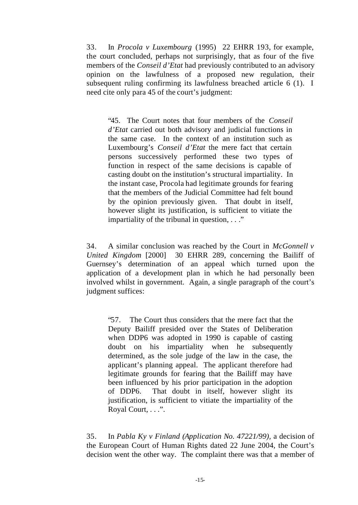33. In *Procola v Luxembourg* (1995) 22 EHRR 193, for example, the court concluded, perhaps not surprisingly, that as four of the five members of the *Conseil d'Etat* had previously contributed to an advisory opinion on the lawfulness of a proposed new regulation, their subsequent ruling confirming its lawfulness breached article 6 (1). I need cite only para 45 of the court's judgment:

"45. The Court notes that four members of the *Conseil d'Etat* carried out both advisory and judicial functions in the same case. In the context of an institution such as Luxembourg's *Conseil d'Etat* the mere fact that certain persons successively performed these two types of function in respect of the same decisions is capable of casting doubt on the institution's structural impartiality. In the instant case, Procola had legitimate grounds for fearing that the members of the Judicial Committee had felt bound by the opinion previously given. That doubt in itself, however slight its justification, is sufficient to vitiate the impartiality of the tribunal in question,  $\ldots$ ."

34. A similar conclusion was reached by the Court in *McGonnell v United Kingdom* [2000] 30 EHRR 289, concerning the Bailiff of Guernsey's determination of an appeal which turned upon the application of a development plan in which he had personally been involved whilst in government. Again, a single paragraph of the court's judgment suffices:

"57. The Court thus considers that the mere fact that the Deputy Bailiff presided over the States of Deliberation when DDP6 was adopted in 1990 is capable of casting doubt on his impartiality when he subsequently determined, as the sole judge of the law in the case, the applicant's planning appeal. The applicant therefore had legitimate grounds for fearing that the Bailiff may have been influenced by his prior participation in the adoption of DDP6. That doubt in itself, however slight its justification, is sufficient to vitiate the impartiality of the Royal Court, . . .".

35. In *Pabla Ky v Finland (Application No. 47221/99),* a decision of the European Court of Human Rights dated 22 June 2004, the Court's decision went the other way. The complaint there was that a member of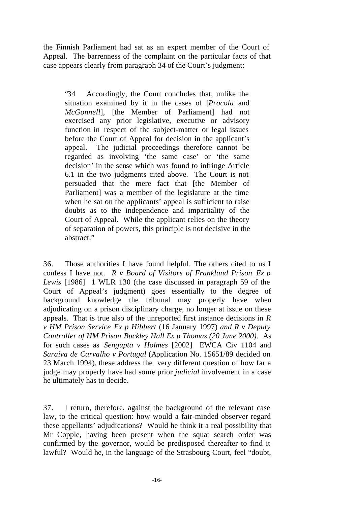the Finnish Parliament had sat as an expert member of the Court of Appeal. The barrenness of the complaint on the particular facts of that case appears clearly from paragraph 34 of the Court's judgment:

"34 Accordingly, the Court concludes that, unlike the situation examined by it in the cases of [*Procola* and *McGonnell*], [the Member of Parliament] had not exercised any prior legislative, executive or advisory function in respect of the subject-matter or legal issues before the Court of Appeal for decision in the applicant's appeal. The judicial proceedings therefore cannot be regarded as involving 'the same case' or 'the same decision' in the sense which was found to infringe Article 6.1 in the two judgments cited above. The Court is not persuaded that the mere fact that [the Member of Parliament] was a member of the legislature at the time when he sat on the applicants' appeal is sufficient to raise doubts as to the independence and impartiality of the Court of Appeal. While the applicant relies on the theory of separation of powers, this principle is not decisive in the abstract."

36. Those authorities I have found helpful. The others cited to us I confess I have not. *R v Board of Visitors of Frankland Prison Ex p Lewis* [1986] 1 WLR 130 (the case discussed in paragraph 59 of the Court of Appeal's judgment) goes essentially to the degree of background knowledge the tribunal may properly have when adjudicating on a prison disciplinary charge, no longer at issue on these appeals. That is true also of the unreported first instance decisions in *R v HM Prison Service Ex p Hibbert* (16 January 1997) *and R v Deputy Controller of HM Prison Buckley Hall Ex p Thomas (20 June 2000).* As for such cases as *Sengupta v Holmes* [2002] EWCA Civ 1104 and *Saraiva de Carvalho v Portugal* (Application No. 15651/89 decided on 23 March 1994), these address the very different question of how far a judge may properly have had some prior *judicial* involvement in a case he ultimately has to decide.

37. I return, therefore, against the background of the relevant case law, to the critical question: how would a fair-minded observer regard these appellants' adjudications? Would he think it a real possibility that Mr Copple, having been present when the squat search order was confirmed by the governor, would be predisposed thereafter to find it lawful? Would he, in the language of the Strasbourg Court, feel "doubt,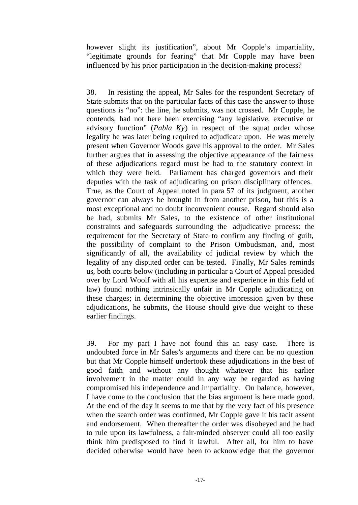however slight its justification", about Mr Copple's impartiality, "legitimate grounds for fearing" that Mr Copple may have been influenced by his prior participation in the decision-making process?

38. In resisting the appeal, Mr Sales for the respondent Secretary of State submits that on the particular facts of this case the answer to those questions is "no": the line, he submits, was not crossed. Mr Copple, he contends, had not here been exercising "any legislative, executive or advisory function" (*Pabla Ky*) in respect of the squat order whose legality he was later being required to adjudicate upon. He was merely present when Governor Woods gave his approval to the order. Mr Sales further argues that in assessing the objective appearance of the fairness of these adjudications regard must be had to the statutory context in which they were held. Parliament has charged governors and their deputies with the task of adjudicating on prison disciplinary offences. True, as the Court of Appeal noted in para 57 of its judgment, another governor can always be brought in from another prison, but this is a most exceptional and no doubt inconvenient course. Regard should also be had, submits Mr Sales, to the existence of other institutional constraints and safeguards surrounding the adjudicative process: the requirement for the Secretary of State to confirm any finding of guilt, the possibility of complaint to the Prison Ombudsman, and, most significantly of all, the availability of judicial review by which the legality of any disputed order can be tested. Finally, Mr Sales reminds us, both courts below (including in particular a Court of Appeal presided over by Lord Woolf with all his expertise and experience in this field of law) found nothing intrinsically unfair in Mr Copple adjudicating on these charges; in determining the objective impression given by these adjudications, he submits, the House should give due weight to these earlier findings.

39. For my part I have not found this an easy case. There is undoubted force in Mr Sales's arguments and there can be no question but that Mr Copple himself undertook these adjudications in the best of good faith and without any thought whatever that his earlier involvement in the matter could in any way be regarded as having compromised his independence and impartiality. On balance, however, I have come to the conclusion that the bias argument is here made good. At the end of the day it seems to me that by the very fact of his presence when the search order was confirmed, Mr Copple gave it his tacit assent and endorsement. When thereafter the order was disobeyed and he had to rule upon its lawfulness, a fair-minded observer could all too easily think him predisposed to find it lawful. After all, for him to have decided otherwise would have been to acknowledge that the governor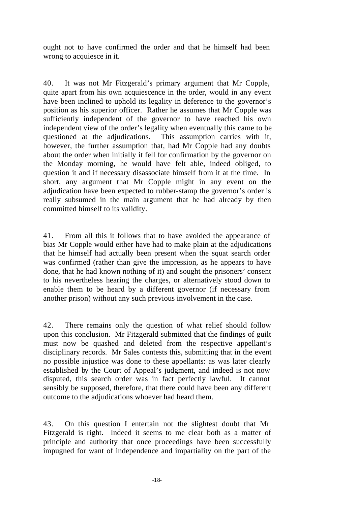ought not to have confirmed the order and that he himself had been wrong to acquiesce in it.

40. It was not Mr Fitzgerald's primary argument that Mr Copple, quite apart from his own acquiescence in the order, would in any event have been inclined to uphold its legality in deference to the governor's position as his superior officer. Rather he assumes that Mr Copple was sufficiently independent of the governor to have reached his own independent view of the order's legality when eventually this came to be questioned at the adjudications. This assumption carries with it, however, the further assumption that, had Mr Copple had any doubts about the order when initially it fell for confirmation by the governor on the Monday morning, he would have felt able, indeed obliged, to question it and if necessary disassociate himself from it at the time. In short, any argument that Mr Copple might in any event on the adjudication have been expected to rubber-stamp the governor's order is really subsumed in the main argument that he had already by then committed himself to its validity.

41. From all this it follows that to have avoided the appearance of bias Mr Copple would either have had to make plain at the adjudications that he himself had actually been present when the squat search order was confirmed (rather than give the impression, as he appears to have done, that he had known nothing of it) and sought the prisoners' consent to his nevertheless hearing the charges, or alternatively stood down to enable them to be heard by a different governor (if necessary from another prison) without any such previous involvement in the case.

42. There remains only the question of what relief should follow upon this conclusion. Mr Fitzgerald submitted that the findings of guilt must now be quashed and deleted from the respective appellant's disciplinary records. Mr Sales contests this, submitting that in the event no possible injustice was done to these appellants: as was later clearly established by the Court of Appeal's judgment, and indeed is not now disputed, this search order was in fact perfectly lawful. It cannot sensibly be supposed, therefore, that there could have been any different outcome to the adjudications whoever had heard them.

43. On this question I entertain not the slightest doubt that Mr Fitzgerald is right. Indeed it seems to me clear both as a matter of principle and authority that once proceedings have been successfully impugned for want of independence and impartiality on the part of the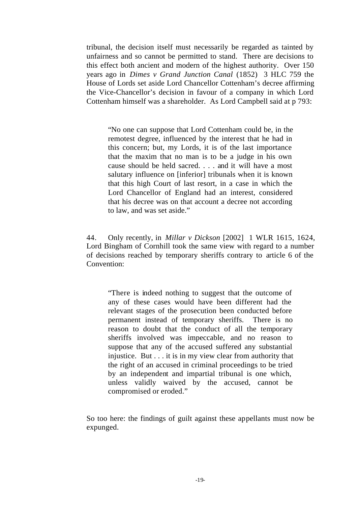tribunal, the decision itself must necessarily be regarded as tainted by unfairness and so cannot be permitted to stand. There are decisions to this effect both ancient and modern of the highest authority. Over 150 years ago in *Dimes v Grand Junction Canal* (1852) 3 HLC 759 the House of Lords set aside Lord Chancellor Cottenham's decree affirming the Vice-Chancellor's decision in favour of a company in which Lord Cottenham himself was a shareholder. As Lord Campbell said at p 793:

"No one can suppose that Lord Cottenham could be, in the remotest degree, influenced by the interest that he had in this concern; but, my Lords, it is of the last importance that the maxim that no man is to be a judge in his own cause should be held sacred. . . . and it will have a most salutary influence on [inferior] tribunals when it is known that this high Court of last resort, in a case in which the Lord Chancellor of England had an interest, considered that his decree was on that account a decree not according to law, and was set aside."

44. Only recently, in *Millar v Dickson* [2002] 1 WLR 1615, 1624, Lord Bingham of Cornhill took the same view with regard to a number of decisions reached by temporary sheriffs contrary to article 6 of the Convention:

"There is indeed nothing to suggest that the outcome of any of these cases would have been different had the relevant stages of the prosecution been conducted before permanent instead of temporary sheriffs. There is no reason to doubt that the conduct of all the temporary sheriffs involved was impeccable, and no reason to suppose that any of the accused suffered any substantial injustice. But . . . it is in my view clear from authority that the right of an accused in criminal proceedings to be tried by an independent and impartial tribunal is one which, unless validly waived by the accused, cannot be compromised or eroded."

So too here: the findings of guilt against these appellants must now be expunged.